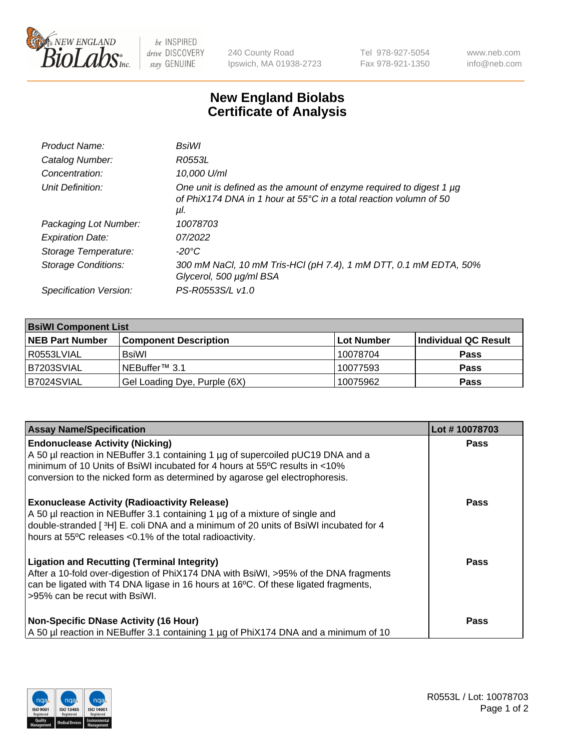

 $be$  INSPIRED drive DISCOVERY stay GENUINE

240 County Road Ipswich, MA 01938-2723 Tel 978-927-5054 Fax 978-921-1350 www.neb.com info@neb.com

## **New England Biolabs Certificate of Analysis**

| BsiWl                                                                                                                                                     |
|-----------------------------------------------------------------------------------------------------------------------------------------------------------|
| R0553L                                                                                                                                                    |
| 10.000 U/ml                                                                                                                                               |
| One unit is defined as the amount of enzyme required to digest 1 µg<br>of PhiX174 DNA in 1 hour at $55^{\circ}$ C in a total reaction volumn of 50<br>μl. |
| 10078703                                                                                                                                                  |
| 07/2022                                                                                                                                                   |
| $-20^{\circ}$ C                                                                                                                                           |
| 300 mM NaCl, 10 mM Tris-HCl (pH 7.4), 1 mM DTT, 0.1 mM EDTA, 50%<br>Glycerol, 500 µg/ml BSA                                                               |
| PS-R0553S/L v1.0                                                                                                                                          |
|                                                                                                                                                           |

| <b>BsiWI Component List</b> |                              |             |                      |  |  |
|-----------------------------|------------------------------|-------------|----------------------|--|--|
| <b>NEB Part Number</b>      | <b>Component Description</b> | ∣Lot Number | Individual QC Result |  |  |
| R0553LVIAL                  | <b>BsiWI</b>                 | 10078704    | <b>Pass</b>          |  |  |
| B7203SVIAL                  | NEBuffer <sup>™</sup> 3.1    | 10077593    | <b>Pass</b>          |  |  |
| B7024SVIAL                  | Gel Loading Dye, Purple (6X) | 10075962    | <b>Pass</b>          |  |  |

| <b>Assay Name/Specification</b>                                                                                                                                                                                                                                                           | Lot #10078703 |
|-------------------------------------------------------------------------------------------------------------------------------------------------------------------------------------------------------------------------------------------------------------------------------------------|---------------|
| <b>Endonuclease Activity (Nicking)</b><br>A 50 µl reaction in NEBuffer 3.1 containing 1 µg of supercoiled pUC19 DNA and a                                                                                                                                                                 | <b>Pass</b>   |
| minimum of 10 Units of BsiWI incubated for 4 hours at 55°C results in <10%<br>conversion to the nicked form as determined by agarose gel electrophoresis.                                                                                                                                 |               |
| <b>Exonuclease Activity (Radioactivity Release)</b><br>A 50 µl reaction in NEBuffer 3.1 containing 1 µg of a mixture of single and<br>double-stranded [ $3H$ ] E. coli DNA and a minimum of 20 units of BsiWI incubated for 4<br>hours at 55°C releases <0.1% of the total radioactivity. | <b>Pass</b>   |
| <b>Ligation and Recutting (Terminal Integrity)</b><br>After a 10-fold over-digestion of PhiX174 DNA with BsiWI, >95% of the DNA fragments<br>can be ligated with T4 DNA ligase in 16 hours at 16°C. Of these ligated fragments,<br>>95% can be recut with BsiWI.                          | Pass          |
| <b>Non-Specific DNase Activity (16 Hour)</b><br>A 50 µl reaction in NEBuffer 3.1 containing 1 µg of PhiX174 DNA and a minimum of 10                                                                                                                                                       | <b>Pass</b>   |